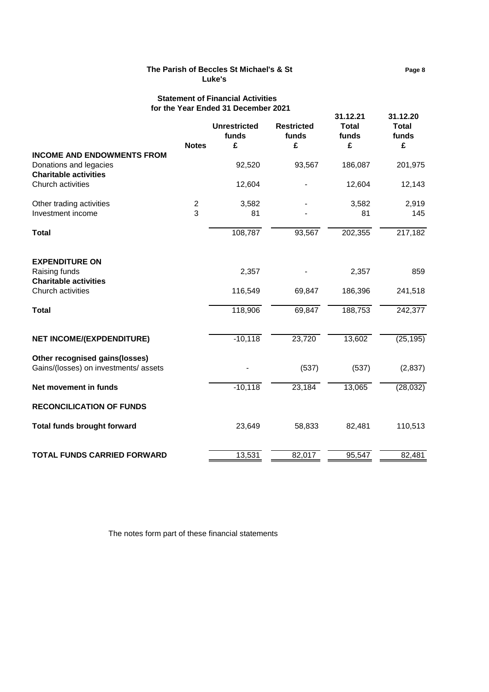# **The Parish of Beccles St Michael's & St Page 8 Luke's**

## **Statement of Financial Activities for the Year Ended 31 December 2021**

|                                       | <u>IUI LIIG TEAL LIIUGU JI DECEIIIDEI ZUZ I</u> |                              |                            | 31.12.21              | 31.12.20              |  |
|---------------------------------------|-------------------------------------------------|------------------------------|----------------------------|-----------------------|-----------------------|--|
|                                       |                                                 | <b>Unrestricted</b><br>funds | <b>Restricted</b><br>funds | <b>Total</b><br>funds | <b>Total</b><br>funds |  |
|                                       | <b>Notes</b>                                    | £                            | £                          | £                     | £                     |  |
| <b>INCOME AND ENDOWMENTS FROM</b>     |                                                 |                              |                            |                       |                       |  |
| Donations and legacies                |                                                 | 92,520                       | 93,567                     | 186,087               | 201,975               |  |
| <b>Charitable activities</b>          |                                                 |                              |                            |                       |                       |  |
| Church activities                     |                                                 | 12,604                       |                            | 12,604                | 12,143                |  |
| Other trading activities              | $\overline{2}$                                  | 3,582                        |                            | 3,582                 | 2,919                 |  |
| Investment income                     | 3                                               | 81                           |                            | 81                    | 145                   |  |
| <b>Total</b>                          |                                                 | 108,787                      | 93,567                     | 202,355               | 217,182               |  |
| <b>EXPENDITURE ON</b>                 |                                                 |                              |                            |                       |                       |  |
| Raising funds                         |                                                 | 2,357                        |                            | 2,357                 | 859                   |  |
| <b>Charitable activities</b>          |                                                 |                              |                            |                       |                       |  |
| Church activities                     |                                                 | 116,549                      | 69,847                     | 186,396               | 241,518               |  |
| <b>Total</b>                          |                                                 | 118,906                      | 69,847                     | 188,753               | 242,377               |  |
| <b>NET INCOME/(EXPDENDITURE)</b>      |                                                 | $-10,118$                    | 23,720                     | 13,602                | (25, 195)             |  |
| Other recognised gains(losses)        |                                                 |                              |                            |                       |                       |  |
| Gains/(losses) on investments/ assets |                                                 |                              | (537)                      | (537)                 | (2,837)               |  |
| Net movement in funds                 |                                                 | $-10,118$                    | 23,184                     | 13,065                | (28,032)              |  |
| <b>RECONCILICATION OF FUNDS</b>       |                                                 |                              |                            |                       |                       |  |
| <b>Total funds brought forward</b>    |                                                 | 23,649                       | 58,833                     | 82,481                | 110,513               |  |
| <b>TOTAL FUNDS CARRIED FORWARD</b>    |                                                 | 13,531                       | 82,017                     | 95,547                | 82,481                |  |

The notes form part of these financial statements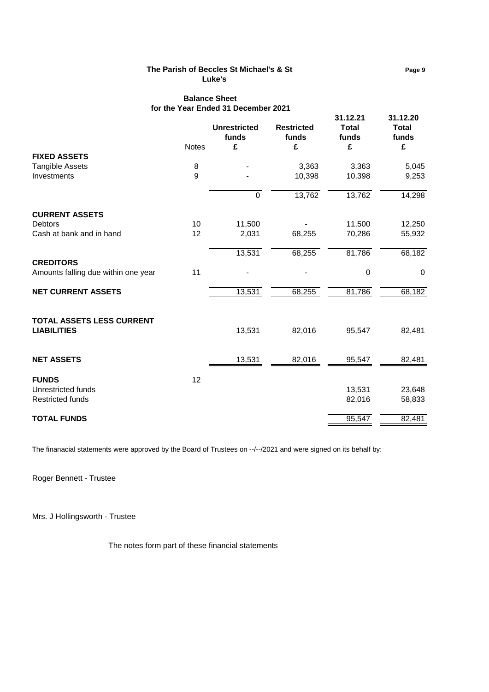## **The Parish of Beccles St Michael's & St Page 9 Luke's**

# **Balance Sheet for the Year Ended 31 December 2021**

|                                     |              | <b>Unrestricted</b><br>funds | <b>Restricted</b><br>funds | 31.12.21<br><b>Total</b><br>funds | 31.12.20<br><b>Total</b><br>funds |
|-------------------------------------|--------------|------------------------------|----------------------------|-----------------------------------|-----------------------------------|
|                                     | <b>Notes</b> | £                            | £                          | £                                 | £                                 |
| <b>FIXED ASSETS</b>                 |              |                              |                            |                                   |                                   |
| <b>Tangible Assets</b>              | 8            |                              | 3,363                      | 3,363                             | 5,045                             |
| Investments                         | 9            |                              | 10,398                     | 10,398                            | 9,253                             |
|                                     |              | $\mathbf 0$                  | 13,762                     | 13,762                            | 14,298                            |
| <b>CURRENT ASSETS</b>               |              |                              |                            |                                   |                                   |
| <b>Debtors</b>                      | 10           | 11,500                       |                            | 11,500                            | 12,250                            |
| Cash at bank and in hand            | 12           | 2,031                        | 68,255                     | 70,286                            | 55,932                            |
|                                     |              | 13,531                       | 68,255                     | 81,786                            | 68,182                            |
| <b>CREDITORS</b>                    |              |                              |                            |                                   |                                   |
| Amounts falling due within one year | 11           |                              |                            | $\mathbf 0$                       | $\mathbf 0$                       |
| <b>NET CURRENT ASSETS</b>           |              | 13,531                       | 68,255                     | 81,786                            | 68,182                            |
| TOTAL ASSETS LESS CURRENT           |              |                              |                            |                                   |                                   |
| <b>LIABILITIES</b>                  |              | 13,531                       | 82,016                     | 95,547                            | 82,481                            |
| <b>NET ASSETS</b>                   |              | 13,531                       | 82,016                     | 95,547                            | 82,481                            |
|                                     |              |                              |                            |                                   |                                   |
| <b>FUNDS</b>                        | 12           |                              |                            |                                   |                                   |
| Unrestricted funds                  |              |                              |                            | 13,531                            | 23,648                            |
| <b>Restricted funds</b>             |              |                              |                            | 82,016                            | 58,833                            |
| <b>TOTAL FUNDS</b>                  |              |                              |                            | 95,547                            | 82,481                            |

The finanacial statements were approved by the Board of Trustees on --/--/2021 and were signed on its behalf by:

Roger Bennett - Trustee

Mrs. J Hollingsworth - Trustee

The notes form part of these financial statements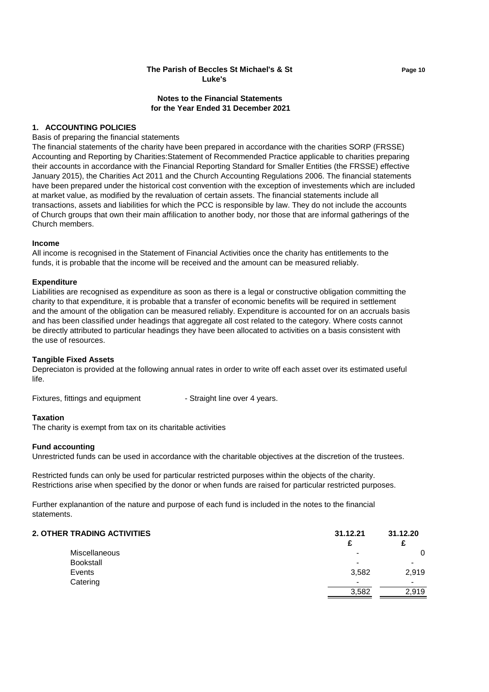# **The Parish of Beccles St Michael's & St Page 10 Luke's**

## **Notes to the Financial Statements for the Year Ended 31 December 2021**

## **1. ACCOUNTING POLICIES**

#### Basis of preparing the financial statements

The financial statements of the charity have been prepared in accordance with the charities SORP (FRSSE) Accounting and Reporting by Charities:Statement of Recommended Practice applicable to charities preparing their accounts in accordance with the Financial Reporting Standard for Smaller Entities (the FRSSE) effective January 2015), the Charities Act 2011 and the Church Accounting Regulations 2006. The financial statements have been prepared under the historical cost convention with the exception of investements which are included at market value, as modified by the revaluation of certain assets. The financial statements include all transactions, assets and liabilities for which the PCC is responsible by law. They do not include the accounts of Church groups that own their main affilication to another body, nor those that are informal gatherings of the Church members.

#### **Income**

All income is recognised in the Statement of Financial Activities once the charity has entitlements to the funds, it is probable that the income will be received and the amount can be measured reliably.

## **Expenditure**

Liabilities are recognised as expenditure as soon as there is a legal or constructive obligation committing the charity to that expenditure, it is probable that a transfer of economic benefits will be required in settlement and the amount of the obligation can be measured reliably. Expenditure is accounted for on an accruals basis and has been classified under headings that aggregate all cost related to the category. Where costs cannot be directly attributed to particular headings they have been allocated to activities on a basis consistent with the use of resources.

## **Tangible Fixed Assets**

Depreciaton is provided at the following annual rates in order to write off each asset over its estimated useful life.

Fixtures, fittings and equipment - Straight line over 4 years.

## **Taxation**

The charity is exempt from tax on its charitable activities

## **Fund accounting**

Unrestricted funds can be used in accordance with the charitable objectives at the discretion of the trustees.

Restricted funds can only be used for particular restricted purposes within the objects of the charity. Restrictions arise when specified by the donor or when funds are raised for particular restricted purposes.

Further explanantion of the nature and purpose of each fund is included in the notes to the financial statements.

| 2. OTHER TRADING ACTIVITIES | 31.12.21 | 31.12.20 |
|-----------------------------|----------|----------|
|                             |          |          |
| <b>Miscellaneous</b>        |          | 0        |
| <b>Bookstall</b>            | -        |          |
| Events                      | 3,582    | 2,919    |
| Catering                    | -        |          |
|                             | 3,582    | 2.919    |
|                             |          |          |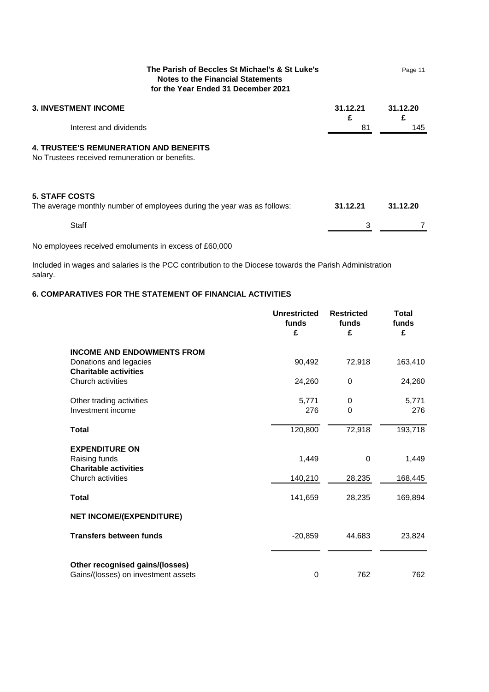| The Parish of Beccles St Michael's & St Luke's<br><b>Notes to the Financial Statements</b><br>for the Year Ended 31 December 2021 |               | Page 11       |
|-----------------------------------------------------------------------------------------------------------------------------------|---------------|---------------|
| <b>3. INVESTMENT INCOME</b>                                                                                                       | 31.12.21<br>£ | 31.12.20<br>£ |
| Interest and dividends                                                                                                            | 81            | 145           |
| <b>4. TRUSTEE'S REMUNERATION AND BENEFITS</b><br>No Trustees received remuneration or benefits.                                   |               |               |
| <b>5. STAFF COSTS</b><br>The average monthly number of employees during the year was as follows:                                  | 31.12.21      | 31.12.20      |
| <b>Staff</b>                                                                                                                      | 3             |               |

No employees received emoluments in excess of £60,000

Included in wages and salaries is the PCC contribution to the Diocese towards the Parish Administration salary.

# **6. COMPARATIVES FOR THE STATEMENT OF FINANCIAL ACTIVITIES**

|                                                                                             | <b>Unrestricted</b><br>funds<br>£ | <b>Restricted</b><br>funds<br>£ | <b>Total</b><br>funds<br>£ |
|---------------------------------------------------------------------------------------------|-----------------------------------|---------------------------------|----------------------------|
| <b>INCOME AND ENDOWMENTS FROM</b><br>Donations and legacies<br><b>Charitable activities</b> | 90,492                            | 72,918                          | 163,410                    |
| Church activities                                                                           | 24,260                            | 0                               | 24,260                     |
| Other trading activities<br>Investment income                                               | 5,771<br>276                      | $\Omega$<br>0                   | 5,771<br>276               |
| <b>Total</b>                                                                                | 120,800                           | 72,918                          | 193,718                    |
| <b>EXPENDITURE ON</b><br>Raising funds<br><b>Charitable activities</b>                      | 1,449                             | 0                               | 1,449                      |
| Church activities                                                                           | 140,210                           | 28,235                          | 168,445                    |
| <b>Total</b>                                                                                | 141,659                           | 28,235                          | 169,894                    |
| <b>NET INCOME/(EXPENDITURE)</b>                                                             |                                   |                                 |                            |
| <b>Transfers between funds</b>                                                              | $-20,859$                         | 44,683                          | 23,824                     |
| Other recognised gains/(losses)<br>Gains/(losses) on investment assets                      | 0                                 | 762                             | 762                        |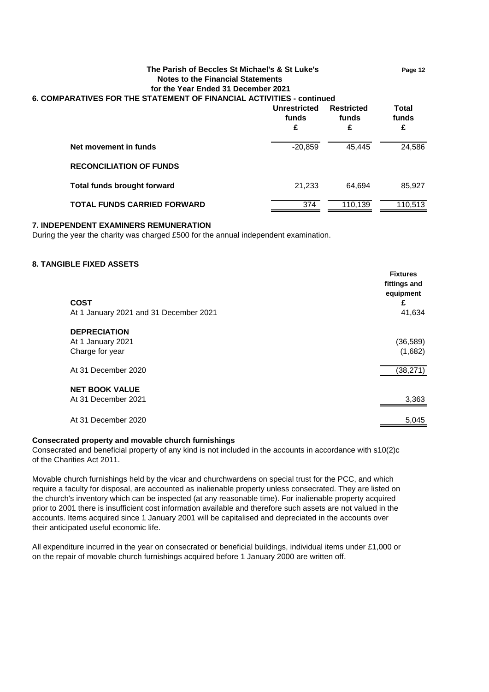| The Parish of Beccles St Michael's & St Luke's<br><b>Notes to the Financial Statements</b><br>for the Year Ended 31 December 2021<br>6. COMPARATIVES FOR THE STATEMENT OF FINANCIAL ACTIVITIES - continued |                            |                                 | Page 12             |
|------------------------------------------------------------------------------------------------------------------------------------------------------------------------------------------------------------|----------------------------|---------------------------------|---------------------|
|                                                                                                                                                                                                            | Unrestricted<br>funds<br>£ | <b>Restricted</b><br>funds<br>£ | Total<br>funds<br>£ |
| Net movement in funds                                                                                                                                                                                      | $-20.859$                  | 45.445                          | 24,586              |
| <b>RECONCILIATION OF FUNDS</b>                                                                                                                                                                             |                            |                                 |                     |
| <b>Total funds brought forward</b>                                                                                                                                                                         | 21.233                     | 64.694                          | 85,927              |
| <b>TOTAL FUNDS CARRIED FORWARD</b>                                                                                                                                                                         | 374                        | 110.139                         | 110.513             |

#### **7. INDEPENDENT EXAMINERS REMUNERATION**

During the year the charity was charged £500 for the annual independent examination.

#### **8. TANGIBLE FIXED ASSETS**

| <b>COST</b><br>At 1 January 2021 and 31 December 2021       | <b>Fixtures</b><br>fittings and<br>equipment<br>£<br>41,634 |
|-------------------------------------------------------------|-------------------------------------------------------------|
| <b>DEPRECIATION</b><br>At 1 January 2021<br>Charge for year | (36, 589)<br>(1,682)                                        |
| At 31 December 2020                                         | (38, 271)                                                   |
| <b>NET BOOK VALUE</b><br>At 31 December 2021                | 3,363                                                       |
| At 31 December 2020                                         | 5,045                                                       |

## **Consecrated property and movable church furnishings**

Consecrated and beneficial property of any kind is not included in the accounts in accordance with s10(2)c of the Charities Act 2011.

Movable church furnishings held by the vicar and churchwardens on special trust for the PCC, and which require a faculty for disposal, are accounted as inalienable property unless consecrated. They are listed on the church's inventory which can be inspected (at any reasonable time). For inalienable property acquired prior to 2001 there is insufficient cost information available and therefore such assets are not valued in the accounts. Items acquired since 1 January 2001 will be capitalised and depreciated in the accounts over their anticipated useful economic life.

All expenditure incurred in the year on consecrated or beneficial buildings, individual items under £1,000 or on the repair of movable church furnishings acquired before 1 January 2000 are written off.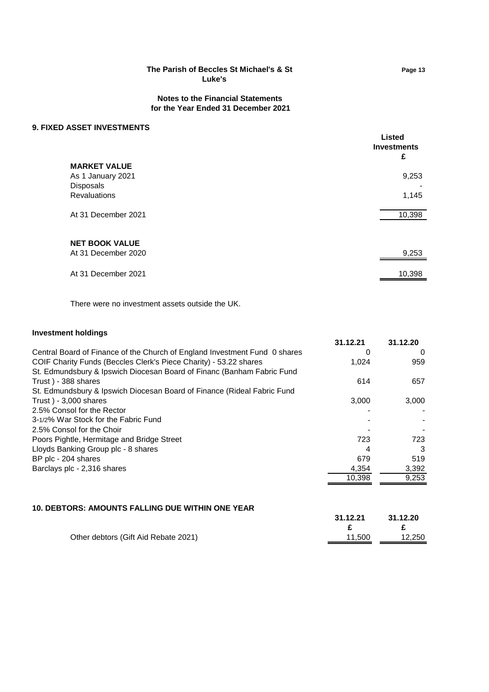# **The Parish of Beccles St Michael's & St Page 13 Luke's**

## **Notes to the Financial Statements for the Year Ended 31 December 2021**

## **9. FIXED ASSET INVESTMENTS**

| AUULI IIII LUI IIILII U                      | Listed<br><b>Investments</b><br>£ |
|----------------------------------------------|-----------------------------------|
| <b>MARKET VALUE</b><br>As 1 January 2021     | 9,253                             |
| <b>Disposals</b><br>Revaluations             | 1,145                             |
| At 31 December 2021                          | 10,398                            |
|                                              |                                   |
| <b>NET BOOK VALUE</b><br>At 31 December 2020 | 9,253                             |
| At 31 December 2021                          | 10,398                            |
|                                              |                                   |

There were no investment assets outside the UK.

## **Investment holdings**

|                                                                            | 31.12.21 | 31.12.20 |
|----------------------------------------------------------------------------|----------|----------|
| Central Board of Finance of the Church of England Investment Fund 0 shares | O        | 0        |
| COIF Charity Funds (Beccles Clerk's Piece Charity) - 53.22 shares          | 1,024    | 959      |
| St. Edmundsbury & Ipswich Diocesan Board of Financ (Banham Fabric Fund     |          |          |
| Trust) - 388 shares                                                        | 614      | 657      |
| St. Edmundsbury & Ipswich Diocesan Board of Finance (Rideal Fabric Fund    |          |          |
| Trust) - $3,000$ shares                                                    | 3,000    | 3,000    |
| 2.5% Consol for the Rector                                                 |          |          |
| 3-1/2% War Stock for the Fabric Fund                                       |          |          |
| 2.5% Consol for the Choir                                                  |          |          |
| Poors Pightle, Hermitage and Bridge Street                                 | 723      | 723      |
| Lloyds Banking Group plc - 8 shares                                        | 4        | 3        |
| BP plc - 204 shares                                                        | 679      | 519      |
| Barclays plc - 2,316 shares                                                | 4.354    | 3,392    |
|                                                                            | 10.398   | 9,253    |
|                                                                            |          |          |

# **10. DEBTORS: AMOUNTS FALLING DUE WITHIN ONE YEAR**

| Other debtors (Gift Aid Rebate 2021)<br>11.500 | 31.12.21 | 31.12.20 |
|------------------------------------------------|----------|----------|
|                                                |          | 12.250   |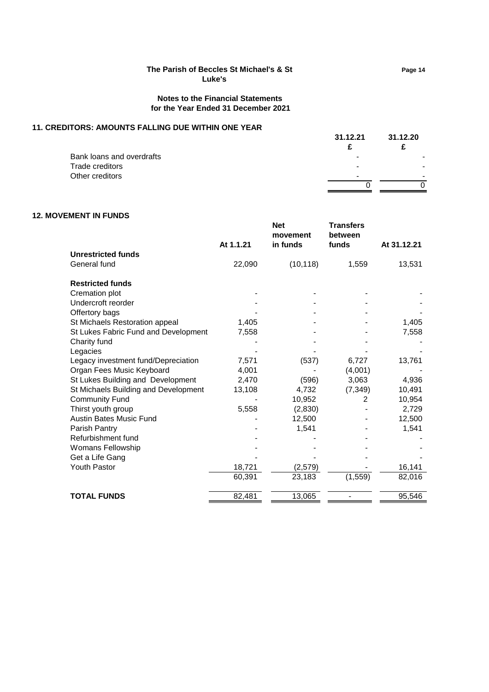# **The Parish of Beccles St Michael's & St Page 14 Luke's**

## **Notes to the Financial Statements for the Year Ended 31 December 2021**

## **11. CREDITORS: AMOUNTS FALLING DUE WITHIN ONE YEAR**

|                           | 31.12.21 | 31.12.20 |
|---------------------------|----------|----------|
| Bank loans and overdrafts | ٠        |          |
| Trade creditors           | ۰        |          |
| Other creditors           | -        |          |
|                           |          |          |

# **12. MOVEMENT IN FUNDS**

|                                      | At 1.1.21 | <b>Net</b><br>movement<br>in funds | <b>Transfers</b><br>between<br>funds | At 31.12.21 |
|--------------------------------------|-----------|------------------------------------|--------------------------------------|-------------|
| <b>Unrestricted funds</b>            |           |                                    |                                      |             |
| General fund                         | 22,090    | (10, 118)                          | 1,559                                | 13,531      |
| <b>Restricted funds</b>              |           |                                    |                                      |             |
| Cremation plot                       |           |                                    |                                      |             |
| Undercroft reorder                   |           |                                    |                                      |             |
| Offertory bags                       |           |                                    |                                      |             |
| St Michaels Restoration appeal       | 1,405     |                                    |                                      | 1,405       |
| St Lukes Fabric Fund and Development | 7,558     |                                    |                                      | 7,558       |
| Charity fund                         |           |                                    |                                      |             |
| Legacies                             |           |                                    |                                      |             |
| Legacy investment fund/Depreciation  | 7,571     | (537)                              | 6,727                                | 13,761      |
| Organ Fees Music Keyboard            | 4,001     |                                    | (4,001)                              |             |
| St Lukes Building and Development    | 2,470     | (596)                              | 3,063                                | 4,936       |
| St Michaels Building and Development | 13,108    | 4,732                              | (7, 349)                             | 10,491      |
| <b>Community Fund</b>                |           | 10,952                             | 2                                    | 10,954      |
| Thirst youth group                   | 5,558     | (2,830)                            |                                      | 2,729       |
| <b>Austin Bates Music Fund</b>       |           | 12,500                             |                                      | 12,500      |
| Parish Pantry                        |           | 1,541                              |                                      | 1,541       |
| Refurbishment fund                   |           |                                    |                                      |             |
| Womans Fellowship                    |           |                                    |                                      |             |
| Get a Life Gang                      |           |                                    |                                      |             |
| <b>Youth Pastor</b>                  | 18,721    | (2,579)                            |                                      | 16,141      |
|                                      | 60,391    | 23,183                             | (1, 559)                             | 82,016      |
| <b>TOTAL FUNDS</b>                   | 82,481    | 13,065                             |                                      | 95,546      |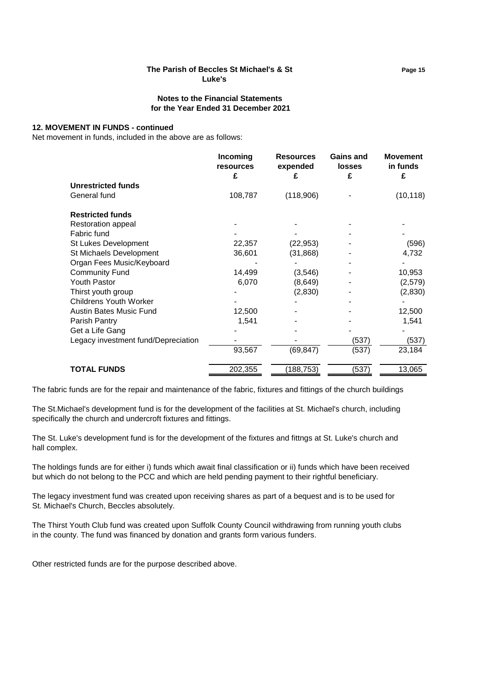# **The Parish of Beccles St Michael's & St Page 15 Luke's**

## **Notes to the Financial Statements for the Year Ended 31 December 2021**

#### **12. MOVEMENT IN FUNDS - continued**

Net movement in funds, included in the above are as follows:

|                                     | Incoming<br>resources<br>£ | <b>Resources</b><br>expended<br>£ | <b>Gains and</b><br><b>losses</b><br>£ | <b>Movement</b><br>in funds<br>£ |
|-------------------------------------|----------------------------|-----------------------------------|----------------------------------------|----------------------------------|
| <b>Unrestricted funds</b>           |                            |                                   |                                        |                                  |
| General fund                        | 108,787                    | (118,906)                         |                                        | (10, 118)                        |
| <b>Restricted funds</b>             |                            |                                   |                                        |                                  |
| Restoration appeal                  |                            |                                   |                                        |                                  |
| Fabric fund                         |                            |                                   |                                        |                                  |
| St Lukes Development                | 22,357                     | (22,953)                          |                                        | (596)                            |
| St Michaels Development             | 36,601                     | (31, 868)                         |                                        | 4,732                            |
| Organ Fees Music/Keyboard           |                            |                                   |                                        |                                  |
| <b>Community Fund</b>               | 14,499                     | (3,546)                           |                                        | 10,953                           |
| <b>Youth Pastor</b>                 | 6,070                      | (8,649)                           |                                        | (2,579)                          |
| Thirst youth group                  |                            | (2,830)                           |                                        | (2,830)                          |
| <b>Childrens Youth Worker</b>       |                            |                                   |                                        |                                  |
| Austin Bates Music Fund             | 12,500                     |                                   |                                        | 12,500                           |
| Parish Pantry                       | 1,541                      |                                   |                                        | 1,541                            |
| Get a Life Gang                     |                            |                                   |                                        |                                  |
| Legacy investment fund/Depreciation |                            |                                   | (537)                                  | (537)                            |
|                                     | 93,567                     | (69, 847)                         | (537)                                  | 23,184                           |
| <b>TOTAL FUNDS</b>                  | 202,355                    | (188, 753)                        | (537)                                  | 13,065                           |

The fabric funds are for the repair and maintenance of the fabric, fixtures and fittings of the church buildings

The St.Michael's development fund is for the development of the facilities at St. Michael's church, including specifically the church and undercroft fixtures and fittings.

The St. Luke's development fund is for the development of the fixtures and fittngs at St. Luke's church and hall complex.

The holdings funds are for either i) funds which await final classification or ii) funds which have been received but which do not belong to the PCC and which are held pending payment to their rightful beneficiary.

The legacy investment fund was created upon receiving shares as part of a bequest and is to be used for St. Michael's Church, Beccles absolutely.

The Thirst Youth Club fund was created upon Suffolk County Council withdrawing from running youth clubs in the county. The fund was financed by donation and grants form various funders.

Other restricted funds are for the purpose described above.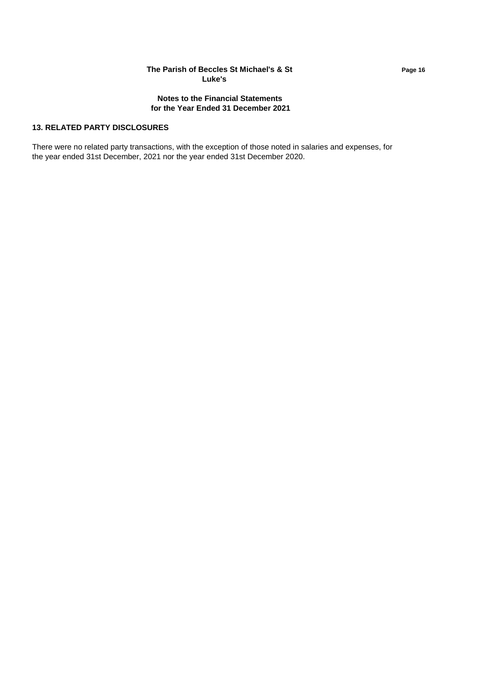## **The Parish of Beccles St Michael's & St Page 16 Luke's**

## **Notes to the Financial Statements for the Year Ended 31 December 2021**

## **13. RELATED PARTY DISCLOSURES**

There were no related party transactions, with the exception of those noted in salaries and expenses, for the year ended 31st December, 2021 nor the year ended 31st December 2020.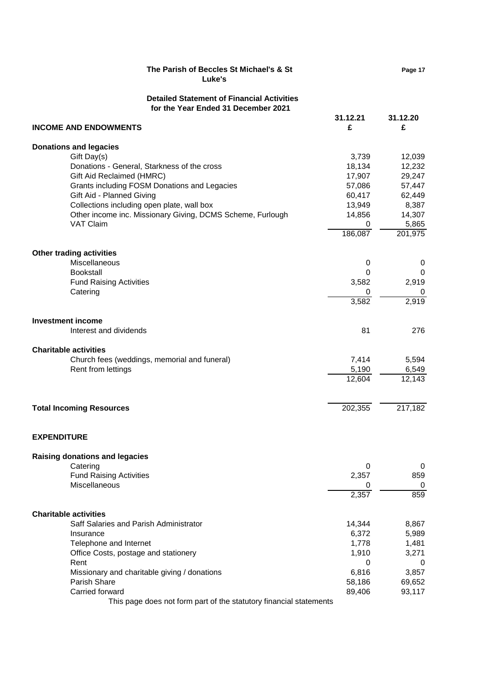| The Parish of Beccles St Michael's & St<br>Luke's                                                                                                                                     |                                      | Page 17                             |
|---------------------------------------------------------------------------------------------------------------------------------------------------------------------------------------|--------------------------------------|-------------------------------------|
| <b>Detailed Statement of Financial Activities</b><br>for the Year Ended 31 December 2021                                                                                              |                                      |                                     |
| <b>INCOME AND ENDOWMENTS</b>                                                                                                                                                          | 31.12.21<br>£                        | 31.12.20<br>£                       |
| <b>Donations and legacies</b>                                                                                                                                                         |                                      |                                     |
| Gift Day(s)<br>Donations - General, Starkness of the cross<br>Gift Aid Reclaimed (HMRC)                                                                                               | 3,739<br>18,134<br>17,907            | 12,039<br>12,232<br>29,247          |
| Grants including FOSM Donations and Legacies<br>Gift Aid - Planned Giving<br>Collections including open plate, wall box<br>Other income inc. Missionary Giving, DCMS Scheme, Furlough | 57,086<br>60,417<br>13,949<br>14,856 | 57,447<br>62,449<br>8,387<br>14,307 |
| <b>VAT Claim</b>                                                                                                                                                                      | 0<br>186,087                         | 5,865<br>201,975                    |
| <b>Other trading activities</b><br>Miscellaneous                                                                                                                                      | 0                                    | 0                                   |
| <b>Bookstall</b><br><b>Fund Raising Activities</b><br>Catering                                                                                                                        | 0<br>3,582<br>0                      | 0<br>2,919<br>0                     |
|                                                                                                                                                                                       | 3,582                                | 2,919                               |
| <b>Investment income</b><br>Interest and dividends                                                                                                                                    | 81                                   | 276                                 |
| <b>Charitable activities</b>                                                                                                                                                          |                                      |                                     |
| Church fees (weddings, memorial and funeral)<br>Rent from lettings                                                                                                                    | 7,414<br>5,190                       | 5,594<br>6,549                      |
|                                                                                                                                                                                       | $\overline{12,604}$                  | 12,143                              |
| <b>Total Incoming Resources</b>                                                                                                                                                       | 202,355                              | 217,182                             |
| <b>EXPENDITURE</b>                                                                                                                                                                    |                                      |                                     |
| <b>Raising donations and legacies</b>                                                                                                                                                 |                                      |                                     |
| Catering                                                                                                                                                                              | 0                                    | 0                                   |
| <b>Fund Raising Activities</b><br>Miscellaneous                                                                                                                                       | 2,357<br>0                           | 859<br>0                            |
|                                                                                                                                                                                       | 2,357                                | 859                                 |
| <b>Charitable activities</b>                                                                                                                                                          |                                      |                                     |
| Saff Salaries and Parish Administrator                                                                                                                                                | 14,344                               | 8,867                               |
| Insurance                                                                                                                                                                             | 6,372                                | 5,989                               |
| Telephone and Internet<br>Office Costs, postage and stationery                                                                                                                        | 1,778<br>1,910                       | 1,481<br>3,271                      |
| Rent                                                                                                                                                                                  | 0                                    | 0                                   |
| Missionary and charitable giving / donations                                                                                                                                          | 6,816                                | 3,857                               |
| Parish Share                                                                                                                                                                          | 58,186                               | 69,652                              |
| Carried forward                                                                                                                                                                       | 89,406                               | 93,117                              |
| This page does not form part of the statutory financial statements                                                                                                                    |                                      |                                     |